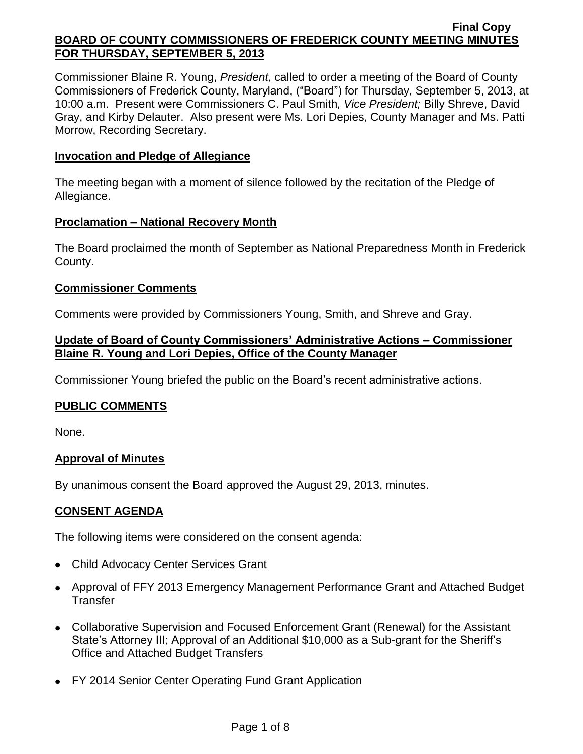Commissioner Blaine R. Young, *President*, called to order a meeting of the Board of County Commissioners of Frederick County, Maryland, ("Board") for Thursday, September 5, 2013, at 10:00 a.m. Present were Commissioners C. Paul Smith*, Vice President;* Billy Shreve, David Gray, and Kirby Delauter. Also present were Ms. Lori Depies, County Manager and Ms. Patti Morrow, Recording Secretary.

## **Invocation and Pledge of Allegiance**

The meeting began with a moment of silence followed by the recitation of the Pledge of Allegiance.

### **Proclamation – National Recovery Month**

The Board proclaimed the month of September as National Preparedness Month in Frederick County.

### **Commissioner Comments**

Comments were provided by Commissioners Young, Smith, and Shreve and Gray.

## **Update of Board of County Commissioners' Administrative Actions – Commissioner Blaine R. Young and Lori Depies, Office of the County Manager**

Commissioner Young briefed the public on the Board's recent administrative actions.

## **PUBLIC COMMENTS**

None.

## **Approval of Minutes**

By unanimous consent the Board approved the August 29, 2013, minutes.

## **CONSENT AGENDA**

The following items were considered on the consent agenda:

- Child Advocacy Center Services Grant
- Approval of FFY 2013 Emergency Management Performance Grant and Attached Budget **Transfer**
- Collaborative Supervision and Focused Enforcement Grant (Renewal) for the Assistant State's Attorney III; Approval of an Additional \$10,000 as a Sub-grant for the Sheriff's Office and Attached Budget Transfers
- FY 2014 Senior Center Operating Fund Grant Application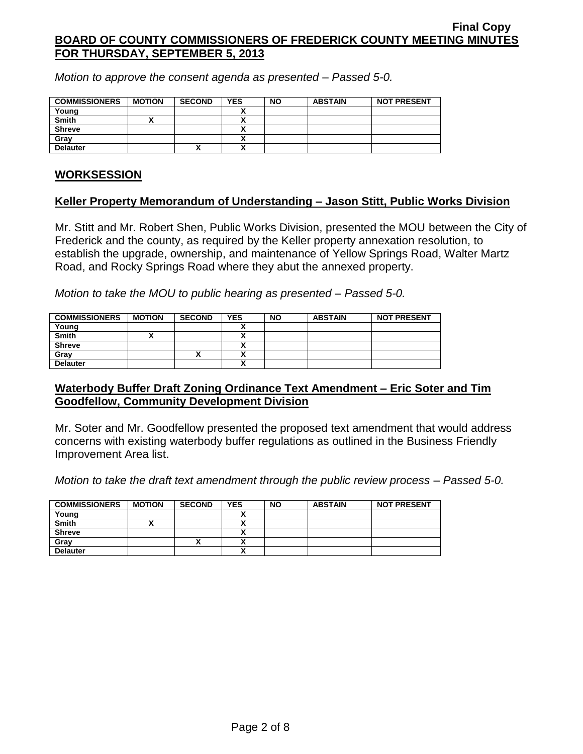*Motion to approve the consent agenda as presented – Passed 5-0.*

| <b>COMMISSIONERS</b> | <b>MOTION</b> | <b>SECOND</b> | <b>YES</b> | <b>NO</b> | <b>ABSTAIN</b> | <b>NOT PRESENT</b> |
|----------------------|---------------|---------------|------------|-----------|----------------|--------------------|
| Young                |               |               |            |           |                |                    |
| <b>Smith</b>         |               |               |            |           |                |                    |
| <b>Shreve</b>        |               |               |            |           |                |                    |
| Gray                 |               |               |            |           |                |                    |
| <b>Delauter</b>      |               | ^             |            |           |                |                    |

### **WORKSESSION**

### **Keller Property Memorandum of Understanding – Jason Stitt, Public Works Division**

Mr. Stitt and Mr. Robert Shen, Public Works Division, presented the MOU between the City of Frederick and the county, as required by the Keller property annexation resolution, to establish the upgrade, ownership, and maintenance of Yellow Springs Road, Walter Martz Road, and Rocky Springs Road where they abut the annexed property.

*Motion to take the MOU to public hearing as presented – Passed 5-0.*

| <b>COMMISSIONERS</b> | <b>MOTION</b> | <b>SECOND</b> | <b>YES</b> | <b>NO</b> | <b>ABSTAIN</b> | <b>NOT PRESENT</b> |
|----------------------|---------------|---------------|------------|-----------|----------------|--------------------|
| Young                |               |               |            |           |                |                    |
| <b>Smith</b>         |               |               | ,,,        |           |                |                    |
| <b>Shreve</b>        |               |               |            |           |                |                    |
| Gray                 |               |               | ~          |           |                |                    |
| <b>Delauter</b>      |               |               | n          |           |                |                    |

### **Waterbody Buffer Draft Zoning Ordinance Text Amendment – Eric Soter and Tim Goodfellow, Community Development Division**

Mr. Soter and Mr. Goodfellow presented the proposed text amendment that would address concerns with existing waterbody buffer regulations as outlined in the Business Friendly Improvement Area list.

*Motion to take the draft text amendment through the public review process – Passed 5-0.*

| <b>COMMISSIONERS</b> | <b>MOTION</b> | <b>SECOND</b> | <b>YES</b>   | <b>NO</b> | <b>ABSTAIN</b> | <b>NOT PRESENT</b> |
|----------------------|---------------|---------------|--------------|-----------|----------------|--------------------|
| Young                |               |               |              |           |                |                    |
| <b>Smith</b>         |               |               |              |           |                |                    |
| <b>Shreve</b>        |               |               |              |           |                |                    |
| Gray                 |               | ́             |              |           |                |                    |
| <b>Delauter</b>      |               |               | $\mathbf{v}$ |           |                |                    |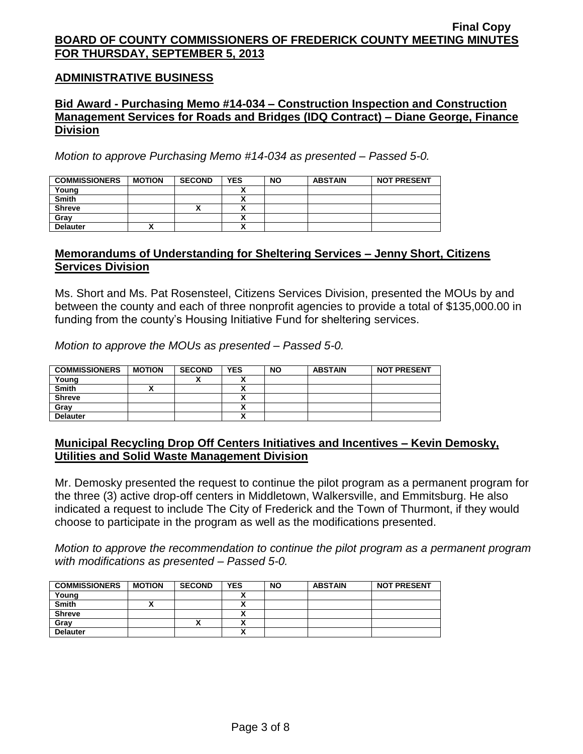### **ADMINISTRATIVE BUSINESS**

### **Bid Award - Purchasing Memo #14-034 – Construction Inspection and Construction Management Services for Roads and Bridges (IDQ Contract) – Diane George, Finance Division**

*Motion to approve Purchasing Memo #14-034 as presented – Passed 5-0.*

| <b>COMMISSIONERS</b> | <b>MOTION</b> | <b>SECOND</b> | <b>YES</b> | <b>NO</b> | <b>ABSTAIN</b> | <b>NOT PRESENT</b> |
|----------------------|---------------|---------------|------------|-----------|----------------|--------------------|
| Young                |               |               |            |           |                |                    |
| <b>Smith</b>         |               |               |            |           |                |                    |
| <b>Shreve</b>        |               | "             |            |           |                |                    |
| Gray                 |               |               |            |           |                |                    |
| <b>Delauter</b>      |               |               |            |           |                |                    |

### **Memorandums of Understanding for Sheltering Services – Jenny Short, Citizens Services Division**

Ms. Short and Ms. Pat Rosensteel, Citizens Services Division, presented the MOUs by and between the county and each of three nonprofit agencies to provide a total of \$135,000.00 in funding from the county's Housing Initiative Fund for sheltering services.

*Motion to approve the MOUs as presented – Passed 5-0.*

| <b>COMMISSIONERS</b> | <b>MOTION</b> | <b>SECOND</b> | <b>YES</b> | <b>NO</b> | <b>ABSTAIN</b> | <b>NOT PRESENT</b> |
|----------------------|---------------|---------------|------------|-----------|----------------|--------------------|
| Young                |               |               |            |           |                |                    |
| <b>Smith</b>         |               |               |            |           |                |                    |
| <b>Shreve</b>        |               |               |            |           |                |                    |
| Grav                 |               |               |            |           |                |                    |
| <b>Delauter</b>      |               |               | ↗          |           |                |                    |

## **Municipal Recycling Drop Off Centers Initiatives and Incentives – Kevin Demosky, Utilities and Solid Waste Management Division**

Mr. Demosky presented the request to continue the pilot program as a permanent program for the three (3) active drop-off centers in Middletown, Walkersville, and Emmitsburg. He also indicated a request to include The City of Frederick and the Town of Thurmont, if they would choose to participate in the program as well as the modifications presented.

*Motion to approve the recommendation to continue the pilot program as a permanent program with modifications as presented – Passed 5-0.*

| <b>COMMISSIONERS</b> | <b>MOTION</b> | <b>SECOND</b> | <b>YES</b>   | <b>NO</b> | <b>ABSTAIN</b> | <b>NOT PRESENT</b> |
|----------------------|---------------|---------------|--------------|-----------|----------------|--------------------|
| Young                |               |               |              |           |                |                    |
| <b>Smith</b>         | ↗             |               |              |           |                |                    |
| <b>Shreve</b>        |               |               |              |           |                |                    |
| Gray                 |               |               |              |           |                |                    |
| <b>Delauter</b>      |               |               | $\mathbf{v}$ |           |                |                    |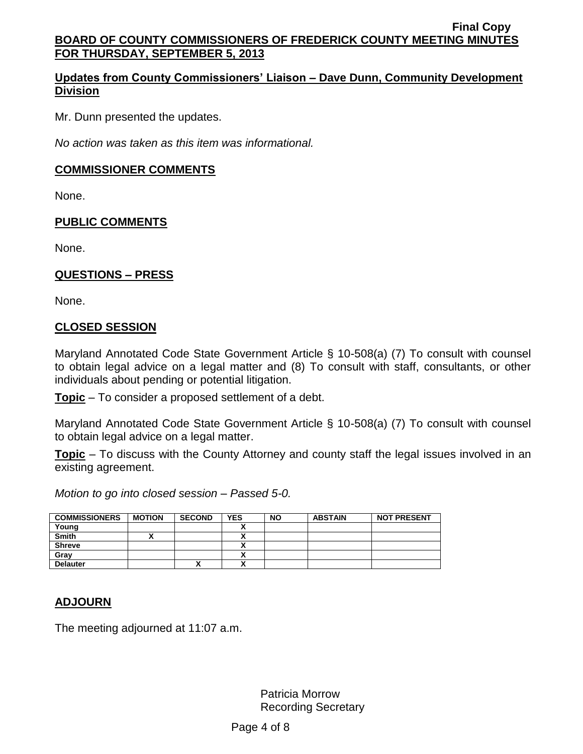# **Updates from County Commissioners' Liaison – Dave Dunn, Community Development Division**

Mr. Dunn presented the updates.

*No action was taken as this item was informational.*

### **COMMISSIONER COMMENTS**

None.

### **PUBLIC COMMENTS**

None.

### **QUESTIONS – PRESS**

None.

### **CLOSED SESSION**

Maryland Annotated Code State Government Article § 10-508(a) (7) To consult with counsel to obtain legal advice on a legal matter and (8) To consult with staff, consultants, or other individuals about pending or potential litigation.

**Topic** – To consider a proposed settlement of a debt.

Maryland Annotated Code State Government Article § 10-508(a) (7) To consult with counsel to obtain legal advice on a legal matter.

**Topic** – To discuss with the County Attorney and county staff the legal issues involved in an existing agreement.

*Motion to go into closed session – Passed 5-0.*

| <b>COMMISSIONERS</b> | <b>MOTION</b> | <b>SECOND</b> | <b>YES</b> | <b>NO</b> | <b>ABSTAIN</b> | <b>NOT PRESENT</b> |
|----------------------|---------------|---------------|------------|-----------|----------------|--------------------|
| Young                |               |               | ^          |           |                |                    |
| <b>Smith</b>         |               |               | ^          |           |                |                    |
| <b>Shreve</b>        |               |               | ~          |           |                |                    |
| Gray                 |               |               | ^          |           |                |                    |
| <b>Delauter</b>      |               | ́             | ^          |           |                |                    |

## **ADJOURN**

The meeting adjourned at 11:07 a.m.

Patricia Morrow Recording Secretary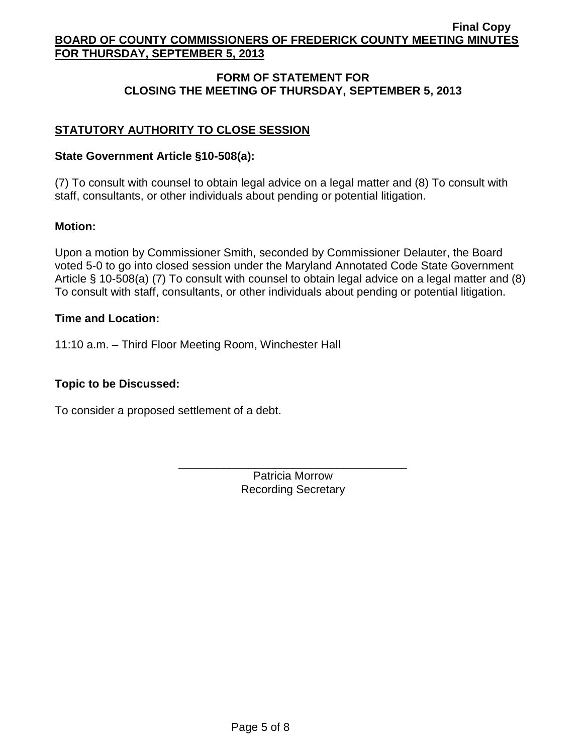# **FORM OF STATEMENT FOR CLOSING THE MEETING OF THURSDAY, SEPTEMBER 5, 2013**

# **STATUTORY AUTHORITY TO CLOSE SESSION**

## **State Government Article §10-508(a):**

(7) To consult with counsel to obtain legal advice on a legal matter and (8) To consult with staff, consultants, or other individuals about pending or potential litigation.

## **Motion:**

Upon a motion by Commissioner Smith, seconded by Commissioner Delauter, the Board voted 5-0 to go into closed session under the Maryland Annotated Code State Government Article § 10-508(a) (7) To consult with counsel to obtain legal advice on a legal matter and (8) To consult with staff, consultants, or other individuals about pending or potential litigation.

## **Time and Location:**

11:10 a.m. – Third Floor Meeting Room, Winchester Hall

# **Topic to be Discussed:**

To consider a proposed settlement of a debt.

Patricia Morrow Recording Secretary

\_\_\_\_\_\_\_\_\_\_\_\_\_\_\_\_\_\_\_\_\_\_\_\_\_\_\_\_\_\_\_\_\_\_\_\_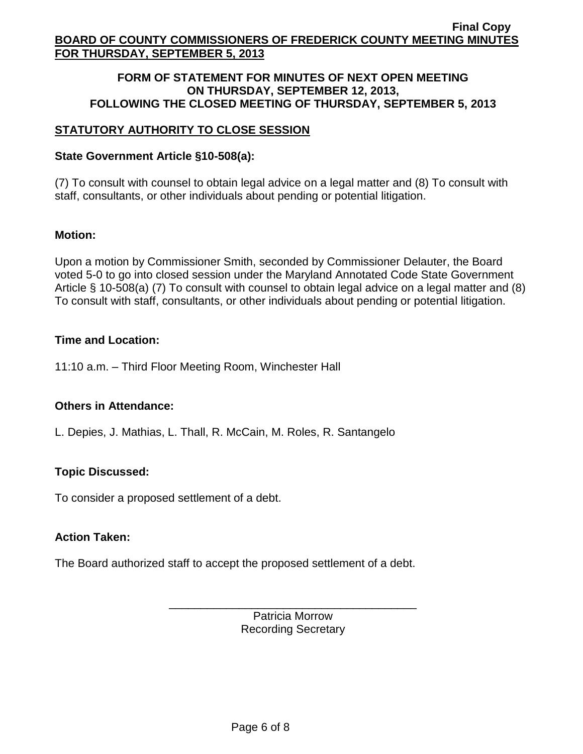### **FORM OF STATEMENT FOR MINUTES OF NEXT OPEN MEETING ON THURSDAY, SEPTEMBER 12, 2013, FOLLOWING THE CLOSED MEETING OF THURSDAY, SEPTEMBER 5, 2013**

# **STATUTORY AUTHORITY TO CLOSE SESSION**

## **State Government Article §10-508(a):**

(7) To consult with counsel to obtain legal advice on a legal matter and (8) To consult with staff, consultants, or other individuals about pending or potential litigation.

## **Motion:**

Upon a motion by Commissioner Smith, seconded by Commissioner Delauter, the Board voted 5-0 to go into closed session under the Maryland Annotated Code State Government Article § 10-508(a) (7) To consult with counsel to obtain legal advice on a legal matter and (8) To consult with staff, consultants, or other individuals about pending or potential litigation.

## **Time and Location:**

11:10 a.m. – Third Floor Meeting Room, Winchester Hall

## **Others in Attendance:**

L. Depies, J. Mathias, L. Thall, R. McCain, M. Roles, R. Santangelo

# **Topic Discussed:**

To consider a proposed settlement of a debt.

## **Action Taken:**

The Board authorized staff to accept the proposed settlement of a debt.

Patricia Morrow Recording Secretary

\_\_\_\_\_\_\_\_\_\_\_\_\_\_\_\_\_\_\_\_\_\_\_\_\_\_\_\_\_\_\_\_\_\_\_\_\_\_\_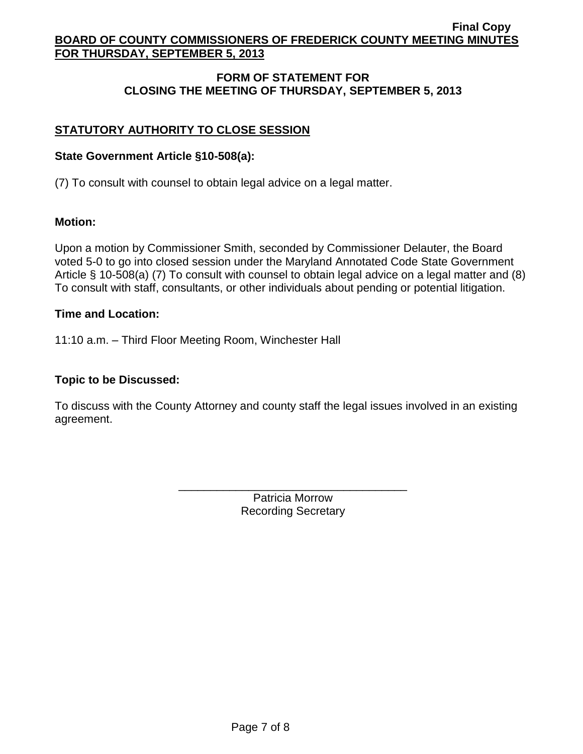# **FORM OF STATEMENT FOR CLOSING THE MEETING OF THURSDAY, SEPTEMBER 5, 2013**

# **STATUTORY AUTHORITY TO CLOSE SESSION**

### **State Government Article §10-508(a):**

(7) To consult with counsel to obtain legal advice on a legal matter.

### **Motion:**

Upon a motion by Commissioner Smith, seconded by Commissioner Delauter, the Board voted 5-0 to go into closed session under the Maryland Annotated Code State Government Article § 10-508(a) (7) To consult with counsel to obtain legal advice on a legal matter and (8) To consult with staff, consultants, or other individuals about pending or potential litigation.

### **Time and Location:**

11:10 a.m. – Third Floor Meeting Room, Winchester Hall

### **Topic to be Discussed:**

To discuss with the County Attorney and county staff the legal issues involved in an existing agreement.

> Patricia Morrow Recording Secretary

\_\_\_\_\_\_\_\_\_\_\_\_\_\_\_\_\_\_\_\_\_\_\_\_\_\_\_\_\_\_\_\_\_\_\_\_